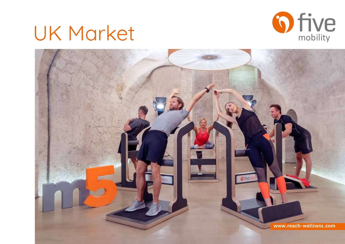

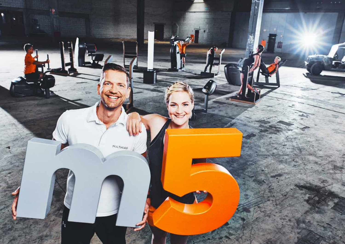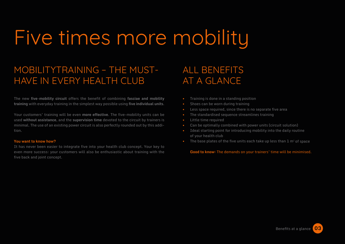# Five times more mobility

### MOBILITYTRAINING – THE MUST-HAVE IN EVERY HEALTH CLUB

The new **five-mobility circuit** offers the benefit of combining **fasciae and mobility training** with everyday training in the simplest way possible using **five individual units**.

Your customers' training will be even **more effective**. The five-mobility units can be used **without assistance**, and the **supervision time** devoted to the circuit by trainers is minimal. The use of an existing power circuit is also perfectly rounded out by this addition.

#### **You want to know how?**

It has never been easier to integrate five into your health club concept. Your key to even more success: your customers will also be enthusiastic about training with the five back and joint concept.

### ALL BENEFITS AT A GLANCE

- Training is done in a standing position
- Shoes can be worn during training
- Less space required, since there is no separate five area
- The standardised sequence streamlines training
- Little time required
- Can be optimally combined with power units (circuit solution)
- Ideal starting point for introducing mobility into the daily routine of your health club
- The base plates of the five units each take up less than  $1\,\mathrm{m}^2$  of space

 **Good to know:** The demands on your trainers' time will be minimised.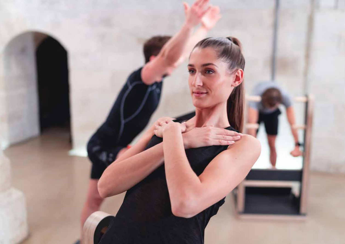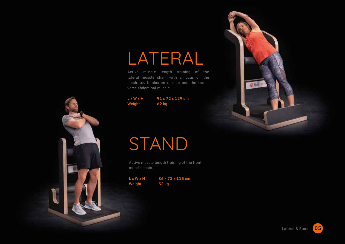## LATERAL

Active muscle length training of the lateral muscle chain with a focus on the quadratus lumborum muscle and the transverse abdominal muscle.

**Weight 62 kg**

**L x W x H 91 x 72 x 129 cm**



## STAND

Active muscle length training of the front muscle chain.

### **L x W x H 86 x 72 x 115 cm**

**Weight 52 kg**

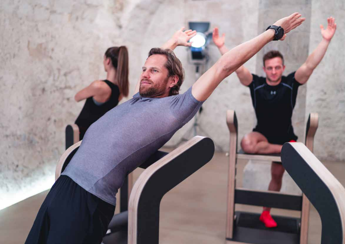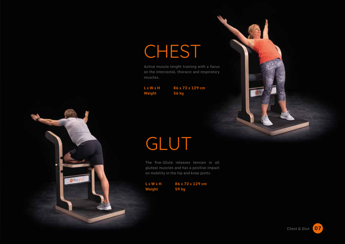## CHEST

Active muscle length training with a focus on the intercostal, thoracic and respiratory muscles.

#### **L x W x H 86 x 72 x 129 cm Weight 56 kg**

**Offveglut** 

## GLUT

The five-Glute releases tension in all gluteal muscles and has a positive impact on mobility in the hip and knee joints.

**L x W x H 86 x 72 x 129 cm Weight 59 kg**



ofiv

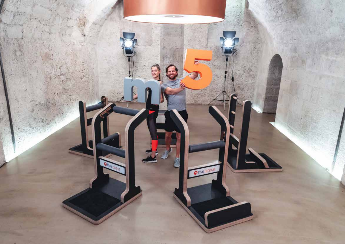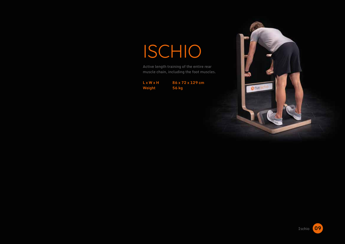## ISCHIO

Active length training of the entire rear muscle chain, including the foot muscles.

L x W x H 86 x 72 x 129 cm<br>Weight 56 kg **Weight** 



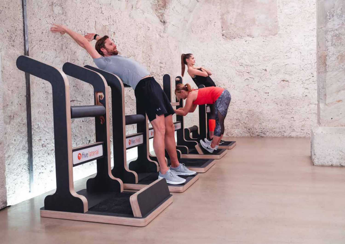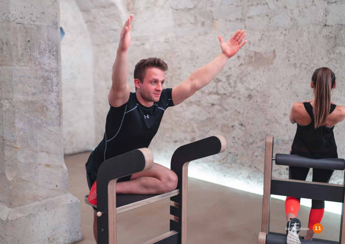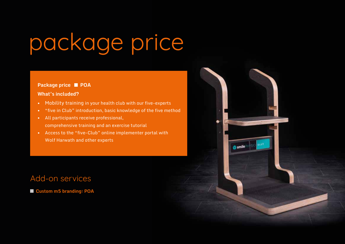# package price

#### **Package price POA**

#### **What's included?**

- Mobility training in your health club with our five-experts
- "five in Club" introduction, basic knowledge of the five method
- All participants receive professional, comprehensive training and an exercise tutorial
- Access to the "five-Club" online implementer portal with Wolf Harwath and other experts

### Add-on services

 **Custom m5 branding: POA**

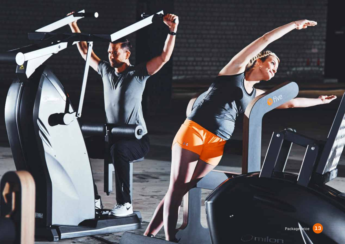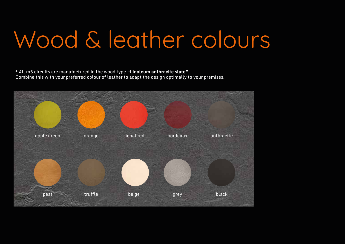# Wood & leather colours

\* All m5 circuits are manufactured in the wood type **"Linoleum anthracite slate"**. Combine this with your preferred colour of leather to adapt the design optimally to your premises.

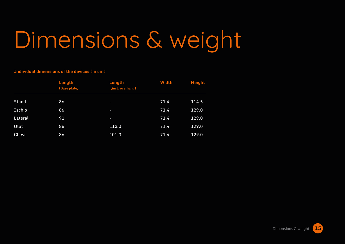# Dimensions & weight

#### **Individual dimensions of the devices (in cm)**

|              | Length<br>(Base plate) | Length<br>(incl. overhang) | Width | <b>Height</b> |
|--------------|------------------------|----------------------------|-------|---------------|
| Stand        | 86                     | ľ                          | 71.4  | 114.5         |
| Ischio       | 86                     | I                          | 71.4  | 129.0         |
| Lateral      | 91                     | Ε                          | 71.4  | 129.0         |
| Glut         | 86                     | 113.0                      | 71.4  | 129.0         |
| <b>Chest</b> | 86                     | 101.0                      | 71.4  | 129.0         |